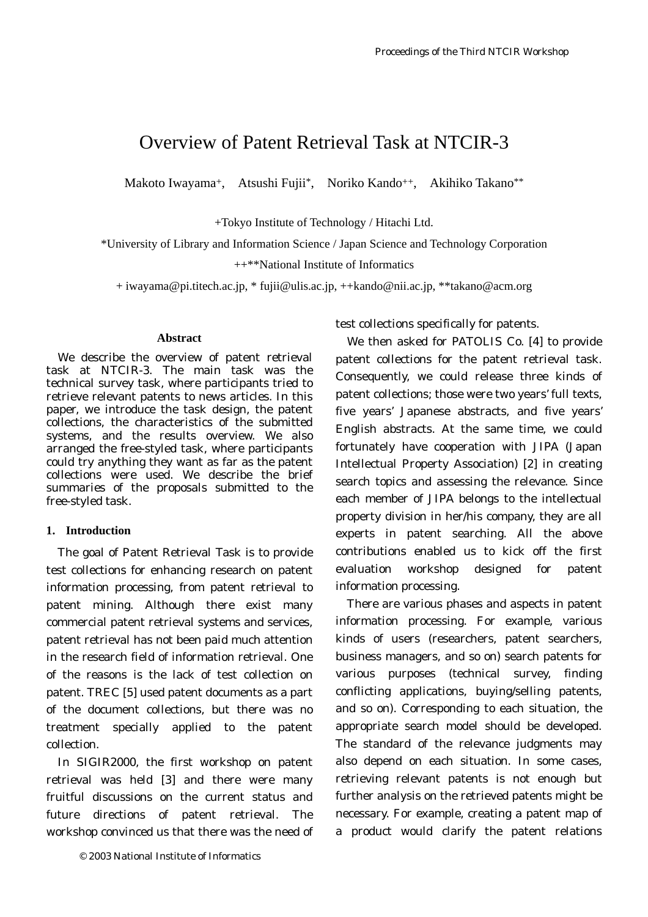# Overview of Patent Retrieval Task at NTCIR-3

Makoto Iwayama<sup>+</sup>, Atsushi Fujii<sup>\*</sup>, Noriko Kando<sup>++</sup>, Akihiko Takano<sup>\*\*</sup>

+Tokyo Institute of Technology / Hitachi Ltd.

\*University of Library and Information Science / Japan Science and Technology Corporation

++\*\*National Institute of Informatics

+ iwayama@pi.titech.ac.jp, \* fujii@ulis.ac.jp, ++kando@nii.ac.jp, \*\*takano@acm.org

#### **Abstract**

We describe the overview of patent retrieval task at NTCIR-3. The main task was the technical survey task, where participants tried to retrieve relevant patents to news articles. In this paper, we introduce the task design, the patent collections, the characteristics of the submitted systems, and the results overview. We also arranged the free-styled task, where participants could try anything they want as far as the patent collections were used. We describe the brief summaries of the proposals submitted to the free-styled task.

# **1. Introduction**

The goal of Patent Retrieval Task is to provide test collections for enhancing research on patent information processing, from patent retrieval to patent mining. Although there exist many commercial patent retrieval systems and services, patent retrieval has not been paid much attention in the research field of information retrieval. One of the reasons is the lack of test collection on patent. TREC [5] used patent documents as a part of the document collections, but there was no treatment specially applied to the patent collection.

In SIGIR2000, the first workshop on patent retrieval was held [3] and there were many fruitful discussions on the current status and future directions of patent retrieval. The workshop convinced us that there was the need of test collections specifically for patents.

We then asked for PATOLIS Co. [4] to provide patent collections for the patent retrieval task. Consequently, we could release three kinds of patent collections; those were two years' full texts, five years' Japanese abstracts, and five years' English abstracts. At the same time, we could fortunately have cooperation with JIPA (Japan Intellectual Property Association) [2] in creating search topics and assessing the relevance. Since each member of JIPA belongs to the intellectual property division in her/his company, they are all experts in patent searching. All the above contributions enabled us to kick off the first evaluation workshop designed for patent information processing.

There are various phases and aspects in patent information processing. For example, various kinds of users (researchers, patent searchers, business managers, and so on) search patents for various purposes (technical survey, finding conflicting applications, buying/selling patents, and so on). Corresponding to each situation, the appropriate search model should be developed. The standard of the relevance judgments may also depend on each situation. In some cases, retrieving relevant patents is not enough but further analysis on the retrieved patents might be necessary. For example, creating a patent map of a product would clarify the patent relations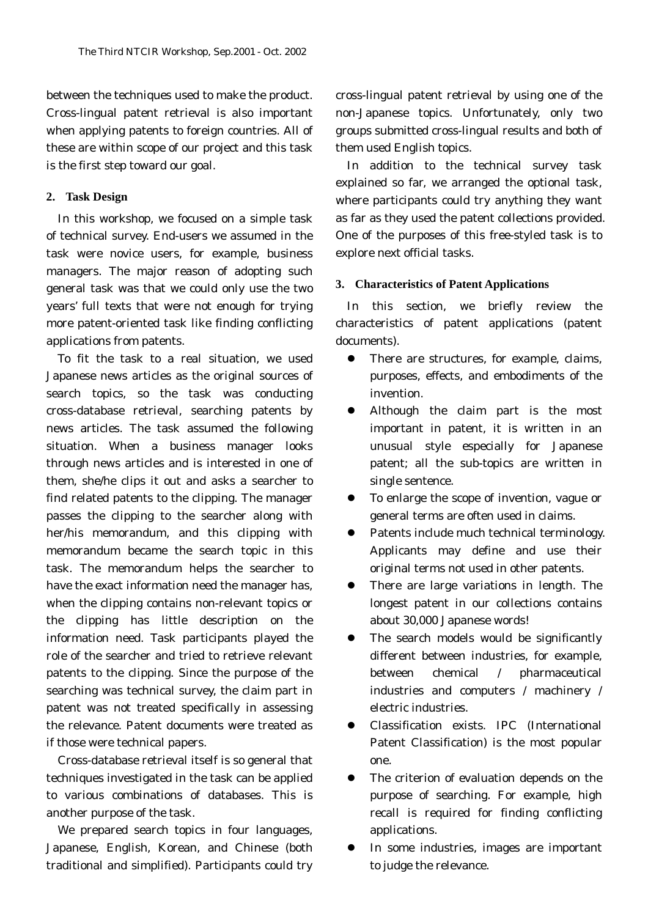between the techniques used to make the product. Cross-lingual patent retrieval is also important when applying patents to foreign countries. All of these are within scope of our project and this task is the first step toward our goal.

#### **2. Task Design**

In this workshop, we focused on a simple task of technical survey. End-users we assumed in the task were novice users, for example, business managers. The major reason of adopting such general task was that we could only use the two years' full texts that were not enough for trying more patent-oriented task like finding conflicting applications from patents.

To fit the task to a real situation, we used Japanese news articles as the original sources of search topics, so the task was conducting cross-database retrieval, searching patents by news articles. The task assumed the following situation. When a business manager looks through news articles and is interested in one of them, she/he clips it out and asks a searcher to find related patents to the clipping. The manager passes the clipping to the searcher along with her/his memorandum, and this clipping with memorandum became the search topic in this task. The memorandum helps the searcher to have the exact information need the manager has, when the clipping contains non-relevant topics or the clipping has little description on the information need. Task participants played the role of the searcher and tried to retrieve relevant patents to the clipping. Since the purpose of the searching was technical survey, the claim part in patent was not treated specifically in assessing the relevance. Patent documents were treated as if those were technical papers.

Cross-database retrieval itself is so general that techniques investigated in the task can be applied to various combinations of databases. This is another purpose of the task.

We prepared search topics in four languages, Japanese, English, Korean, and Chinese (both traditional and simplified). Participants could try cross-lingual patent retrieval by using one of the non-Japanese topics. Unfortunately, only two groups submitted cross-lingual results and both of them used English topics.

In addition to the technical survey task explained so far, we arranged the optional task, where participants could try anything they want as far as they used the patent collections provided. One of the purposes of this free-styled task is to explore next official tasks.

**3. Characteristics of Patent Applications** 

In this section, we briefly review the characteristics of patent applications (patent documents).

- There are structures, for example, claims, purposes, effects, and embodiments of the invention.
- Although the claim part is the most important in patent, it is written in an unusual style especially for Japanese patent; all the sub-topics are written in single sentence.
- To enlarge the scope of invention, vague or general terms are often used in claims.
- Patents include much technical terminology. Applicants may define and use their original terms not used in other patents.
- $\bullet$  There are large variations in length. The longest patent in our collections contains about 30,000 Japanese words!
- The search models would be significantly different between industries, for example, between chemical / pharmaceutical industries and computers / machinery / electric industries.
- Classification exists. IPC (International Patent Classification) is the most popular one.
- The criterion of evaluation depends on the purpose of searching. For example, high recall is required for finding conflicting applications.
- In some industries, images are important to judge the relevance.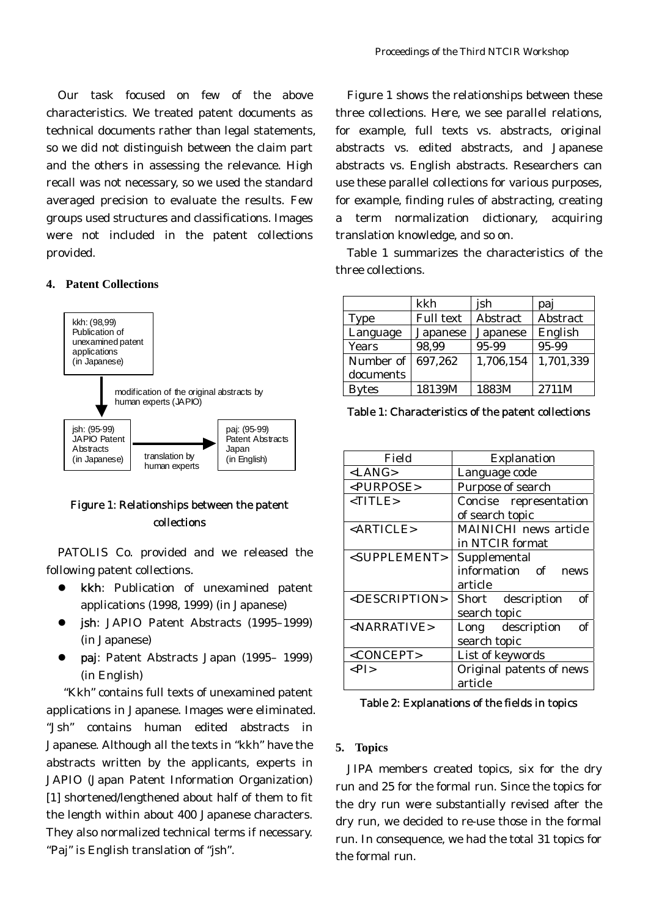Our task focused on few of the above characteristics. We treated patent documents as technical documents rather than legal statements, so we did not distinguish between the claim part and the others in assessing the relevance. High recall was not necessary, so we used the standard averaged precision to evaluate the results. Few groups used structures and classifications. Images were not included in the patent collections provided.

#### **4. Patent Collections**



# Figure 1: Relationships between the patent collections

PATOLIS Co. provided and we released the following patent collections.

- kkh: Publication of unexamined patent applications (1998, 1999) (in Japanese)
- jsh: JAPIO Patent Abstracts (1995–1999) (in Japanese)
- paj: Patent Abstracts Japan (1995- 1999) (in English)

 "Kkh" contains full texts of unexamined patent applications in Japanese. Images were eliminated. "Jsh" contains human edited abstracts in Japanese. Although all the texts in "kkh" have the abstracts written by the applicants, experts in JAPIO (Japan Patent Information Organization) [1] shortened/lengthened about half of them to fit the length within about 400 Japanese characters. They also normalized technical terms if necessary. "Paj" is English translation of "jsh".

Figure 1 shows the relationships between these three collections. Here, we see parallel relations, for example, full texts vs. abstracts, original abstracts vs. edited abstracts, and Japanese abstracts vs. English abstracts. Researchers can use these parallel collections for various purposes, for example, finding rules of abstracting, creating a term normalization dictionary, acquiring translation knowledge, and so on.

Table 1 summarizes the characteristics of the three collections.

|              | kkh              | jsh             | paj             |
|--------------|------------------|-----------------|-----------------|
| <b>Type</b>  | <b>Full text</b> | <b>Abstract</b> | <b>Abstract</b> |
| Language     | <b>Japanese</b>  | Japanese        | English         |
| <b>Years</b> | 98,99            | 95-99           | 95-99           |
| Number of    | 697,262          | 1,706,154       | 1,701,339       |
| documents    |                  |                 |                 |
| <b>Bytes</b> | 18139M           | 1883M           | 2711M           |

Table 1: Characteristics of the patent collections

| Field                           | <b>Explanation</b>           |  |
|---------------------------------|------------------------------|--|
| <lang></lang>                   | Language code                |  |
| <purpose></purpose>             | Purpose of search            |  |
| $<$ TITLE>                      | Concise representation       |  |
|                                 | of search topic              |  |
| $\langle \text{ARTICLE}\rangle$ | <b>MAINICHI</b> news article |  |
|                                 | in NTCIR format              |  |
| <supplement></supplement>       | Supplemental                 |  |
|                                 | information of<br>news       |  |
|                                 | article                      |  |
| <description></description>     | Short description<br>оf      |  |
|                                 | search topic                 |  |
| $<$ NARRATIVE>                  | Long description<br>of       |  |
|                                 | search topic                 |  |
| <concept></concept>             | List of keywords             |  |
| $\langle PI \rangle$            | Original patents of news     |  |
|                                 | article                      |  |

Table 2: Explanations of the fields in topics

# **5. Topics**

JIPA members created topics, six for the dry run and 25 for the formal run. Since the topics for the dry run were substantially revised after the dry run, we decided to re-use those in the formal run. In consequence, we had the total 31 topics for the formal run.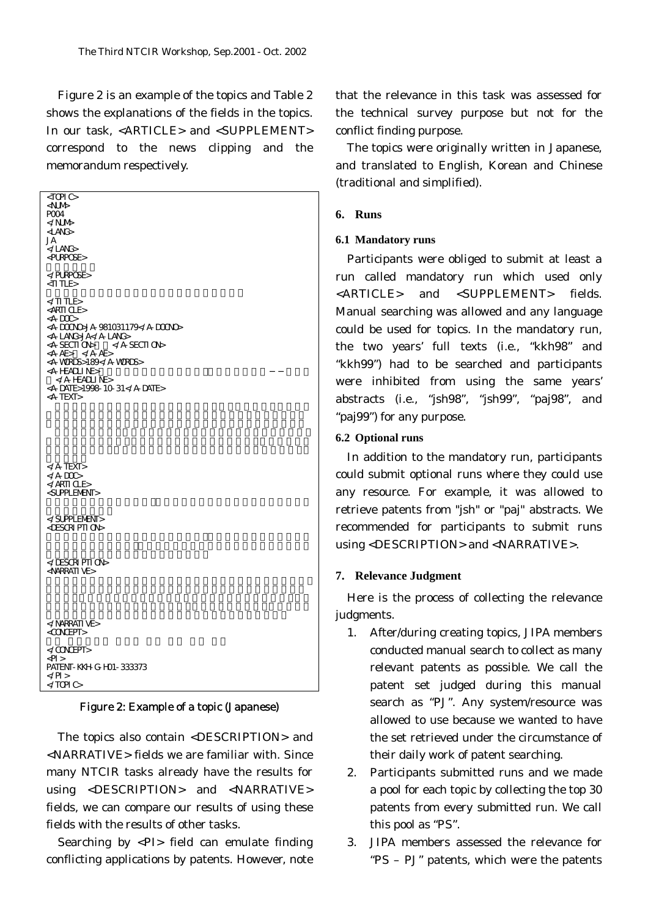Figure 2 is an example of the topics and Table 2 shows the explanations of the fields in the topics. In our task, <ARTICLE> and <SUPPLEMENT> correspond to the news clipping and the memorandum respectively.

| $\triangle$ TOPIC $\triangleright$<br><num≻<br>POO4<br/><lang><br/>JA<br/></lang><br/><purpose></purpose></num≻<br>                                                                                                                                                                                                                                                               |
|-----------------------------------------------------------------------------------------------------------------------------------------------------------------------------------------------------------------------------------------------------------------------------------------------------------------------------------------------------------------------------------|
| <br><ti tle=""></ti>                                                                                                                                                                                                                                                                                                                                                              |
| $\ll$ TI TLE><br><arti cle=""><br/><math>\langle A-DCD \rangle</math><br/><a-doono>JA-981031179</a-doono><br/><a-lang>JA</a-lang><br/><a-section></a-section><br/><math>&lt;</math>A-AE&gt; <math>&lt;</math>/A-AE&gt;<br/><a-words>189</a-words><br/><a-headline><br/><math>&lt;</math>/A-HEADLINE&gt;<br/><a-date>1998-10-31</a-date><br/><a-text></a-text></a-headline></arti> |
|                                                                                                                                                                                                                                                                                                                                                                                   |
| $<$ /A-TEXT><br>$\ll$ A-DOC><br>$\triangle$ /ARTICLE><br><supplement></supplement>                                                                                                                                                                                                                                                                                                |
| <br><description></description>                                                                                                                                                                                                                                                                                                                                                   |
| <br><narrative></narrative>                                                                                                                                                                                                                                                                                                                                                       |
|                                                                                                                                                                                                                                                                                                                                                                                   |
| <concept></concept>                                                                                                                                                                                                                                                                                                                                                               |
| <br>$\langle$ Pl >                                                                                                                                                                                                                                                                                                                                                                |
| PATENT-KKH-G-HD1-333373<br>$\langle$ /Pl ><br>$\ll$ TOPIC $\gt$                                                                                                                                                                                                                                                                                                                   |
|                                                                                                                                                                                                                                                                                                                                                                                   |

Figure 2: Example of a topic (Japanese)

The topics also contain <DESCRIPTION> and <NARRATIVE> fields we are familiar with. Since many NTCIR tasks already have the results for using <DESCRIPTION> and <NARRATIVE> fields, we can compare our results of using these fields with the results of other tasks.

Searching by <PI> field can emulate finding conflicting applications by patents. However, note that the relevance in this task was assessed for the technical survey purpose but not for the conflict finding purpose.

The topics were originally written in Japanese, and translated to English, Korean and Chinese (traditional and simplified).

# **6. Runs**

# **6.1 Mandatory runs**

Participants were obliged to submit at least a run called mandatory run which used only <ARTICLE> and <SUPPLEMENT> fields. Manual searching was allowed and any language could be used for topics. In the mandatory run, the two years' full texts (i.e., "kkh98" and "kkh99") had to be searched and participants were inhibited from using the same years' abstracts (i.e., "jsh98", "jsh99", "paj98", and "paj99") for any purpose.

# **6.2 Optional runs**

In addition to the mandatory run, participants could submit optional runs where they could use any resource. For example, it was allowed to retrieve patents from "jsh" or "paj" abstracts. We recommended for participants to submit runs using <DESCRIPTION> and <NARRATIVE>.

#### **7. Relevance Judgment**

Here is the process of collecting the relevance judgments.

- 1. After/during creating topics, JIPA members conducted manual search to collect as many relevant patents as possible. We call the patent set judged during this manual search as "PJ". Any system/resource was allowed to use because we wanted to have the set retrieved under the circumstance of their daily work of patent searching.
- 2. Participants submitted runs and we made a pool for each topic by collecting the top 30 patents from every submitted run. We call this pool as "PS".
- 3. JIPA members assessed the relevance for "PS – PJ" patents, which were the patents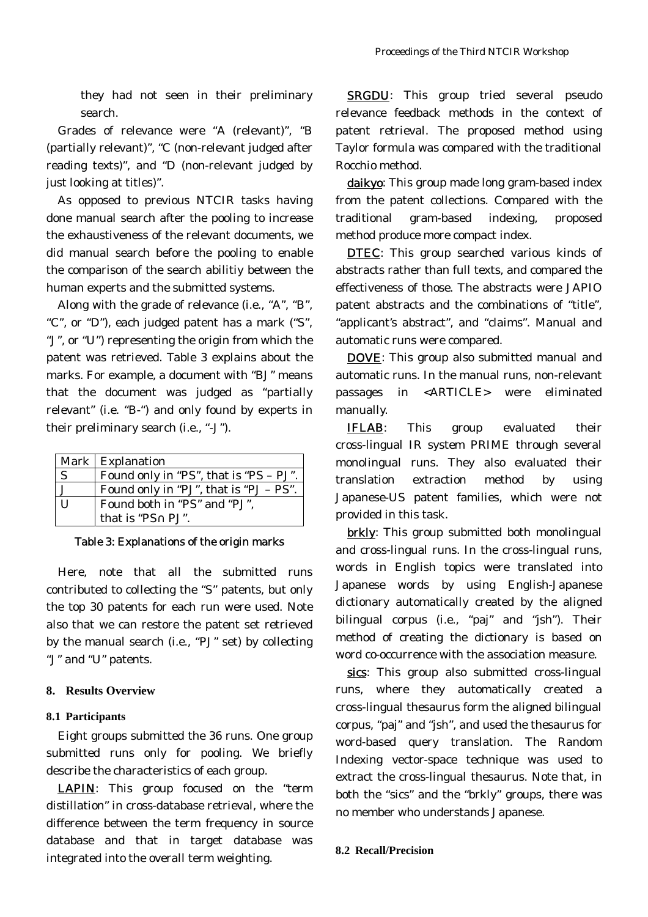they had not seen in their preliminary search.

Grades of relevance were "A (relevant)", "B (partially relevant)", "C (non-relevant judged after reading texts)", and "D (non-relevant judged by just looking at titles)".

As opposed to previous NTCIR tasks having done manual search after the pooling to increase the exhaustiveness of the relevant documents, we did manual search before the pooling to enable the comparison of the search abilitiy between the human experts and the submitted systems.

Along with the grade of relevance (i.e., "A", "B", "C", or "D"), each judged patent has a mark ("S", "J", or "U") representing the origin from which the patent was retrieved. Table 3 explains about the marks. For example, a document with "BJ" means that the document was judged as "partially relevant" (i.e. "B-") and only found by experts in their preliminary search (i.e., "-J").

|              | <b>Mark   Explanation</b>                |
|--------------|------------------------------------------|
| $\mathbf{S}$ | Found only in "PS", that is "PS $-$ PJ". |
|              | Found only in "PJ", that is "PJ $-$ PS". |
| $\mathbf{I}$ | Found both in "PS" and "PJ",             |
|              | that is "PS PJ".                         |

Table 3: Explanations of the origin marks

Here, note that all the submitted runs contributed to collecting the "S" patents, but only the top 30 patents for each run were used. Note also that we can restore the patent set retrieved by the manual search (i.e., "PJ" set) by collecting "J" and "U" patents.

#### **8. Results Overview**

#### **8.1 Participants**

Eight groups submitted the 36 runs. One group submitted runs only for pooling. We briefly describe the characteristics of each group.

LAPIN: This group focused on the "term distillation" in cross-database retrieval, where the difference between the term frequency in source database and that in target database was integrated into the overall term weighting.

SRGDU: This group tried several pseudo relevance feedback methods in the context of patent retrieval. The proposed method using Taylor formula was compared with the traditional Rocchio method.

daikyo: This group made long gram-based index from the patent collections. Compared with the traditional gram-based indexing, proposed method produce more compact index.

**DTEC:** This group searched various kinds of abstracts rather than full texts, and compared the effectiveness of those. The abstracts were JAPIO patent abstracts and the combinations of "title", "applicant's abstract", and "claims". Manual and automatic runs were compared.

DOVE: This group also submitted manual and automatic runs. In the manual runs, non-relevant passages in <ARTICLE> were eliminated manually.

IFLAB: This group evaluated their cross-lingual IR system PRIME through several monolingual runs. They also evaluated their translation extraction method by using Japanese-US patent families, which were not provided in this task.

brkly: This group submitted both monolingual and cross-lingual runs. In the cross-lingual runs, words in English topics were translated into Japanese words by using English-Japanese dictionary automatically created by the aligned bilingual corpus (i.e., "paj" and "jsh"). Their method of creating the dictionary is based on word co-occurrence with the association measure.

sics: This group also submitted cross-lingual runs, where they automatically created a cross-lingual thesaurus form the aligned bilingual corpus, "paj" and "jsh", and used the thesaurus for word-based query translation. The Random Indexing vector-space technique was used to extract the cross-lingual thesaurus. Note that, in both the "sics" and the "brkly" groups, there was no member who understands Japanese.

# **8.2 Recall/Precision**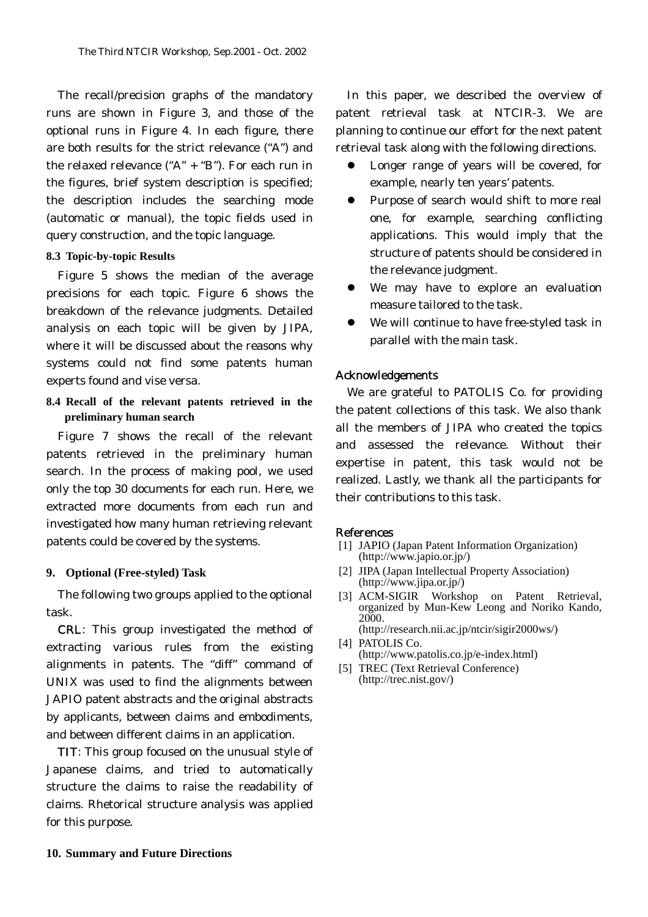The recall/precision graphs of the mandatory runs are shown in Figure 3, and those of the optional runs in Figure 4. In each figure, there are both results for the strict relevance ("A") and the relaxed relevance ("A"  $+$  "B"). For each run in the figures, brief system description is specified; the description includes the searching mode (automatic or manual), the topic fields used in query construction, and the topic language.

# **8.3 Topic-by-topic Results**

Figure 5 shows the median of the average precisions for each topic. Figure 6 shows the breakdown of the relevance judgments. Detailed analysis on each topic will be given by JIPA, where it will be discussed about the reasons why systems could not find some patents human experts found and vise versa.

**8.4 Recall of the relevant patents retrieved in the preliminary human search** 

Figure 7 shows the recall of the relevant patents retrieved in the preliminary human search. In the process of making pool, we used only the top 30 documents for each run. Here, we extracted more documents from each run and investigated how many human retrieving relevant patents could be covered by the systems.

#### **9. Optional (Free-styled) Task**

The following two groups applied to the optional task.

CRL: This group investigated the method of extracting various rules from the existing alignments in patents. The "diff" command of UNIX was used to find the alignments between JAPIO patent abstracts and the original abstracts by applicants, between claims and embodiments, and between different claims in an application.

TIT: This group focused on the unusual style of Japanese claims, and tried to automatically structure the claims to raise the readability of claims. Rhetorical structure analysis was applied for this purpose.

In this paper, we described the overview of patent retrieval task at NTCIR-3. We are planning to continue our effort for the next patent retrieval task along with the following directions.

- Longer range of years will be covered, for example, nearly ten years' patents.
- Purpose of search would shift to more real one, for example, searching conflicting applications. This would imply that the structure of patents should be considered in the relevance judgment.
- We may have to explore an evaluation measure tailored to the task.
- We will continue to have free-styled task in parallel with the main task.

# Acknowledgements

We are grateful to PATOLIS Co. for providing the patent collections of this task. We also thank all the members of JIPA who created the topics and assessed the relevance. Without their expertise in patent, this task would not be realized. Lastly, we thank all the participants for their contributions to this task.

#### References

- [1] JAPIO (Japan Patent Information Organization) (http://www.japio.or.jp/)
- [2] JIPA (Japan Intellectual Property Association) (http://www.jipa.or.jp/)
- [3] ACM-SIGIR Workshop on Patent Retrieval, organized by Mun-Kew Leong and Noriko Kando, 2000. (http://research.nii.ac.jp/ntcir/sigir2000ws/)
- [4] PATOLIS Co.
- (http://www.patolis.co.jp/e-index.html)
- [5] TREC (Text Retrieval Conference) (http://trec.nist.gov/)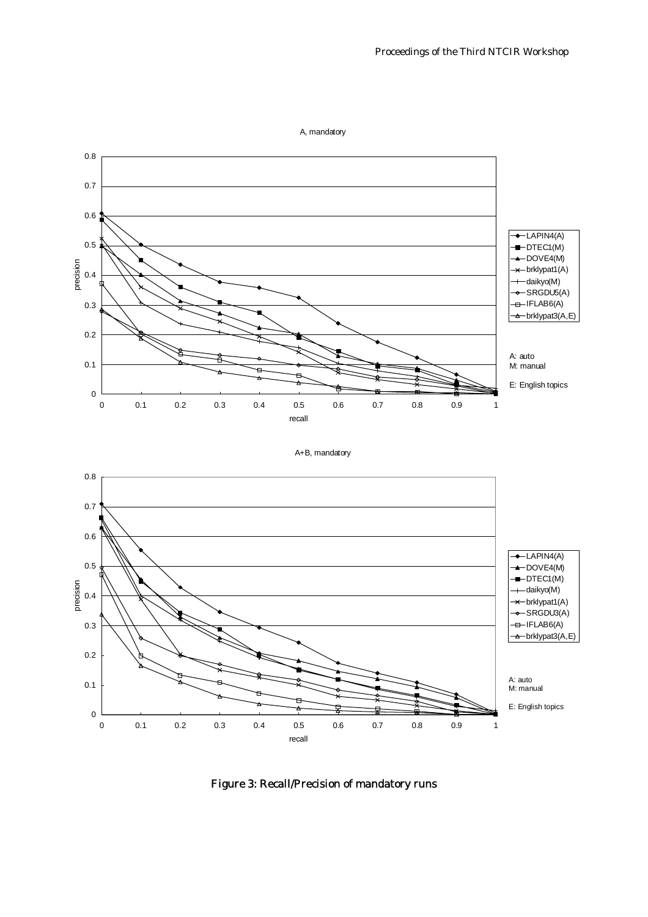

Figure 3: Recall/Precision of mandatory runs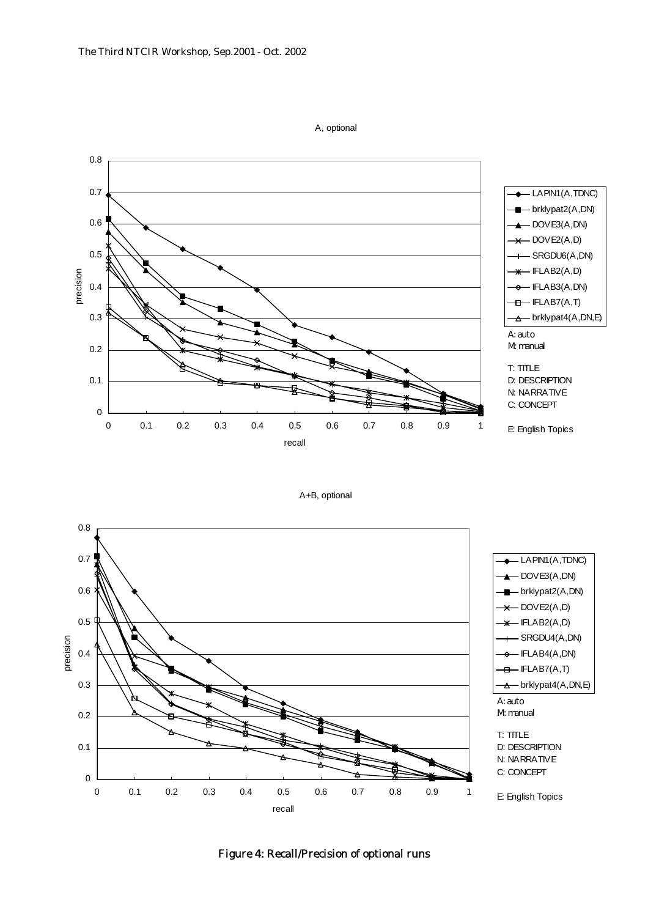

A, optional

A+B, optional



Figure 4: Recall/Precision of optional runs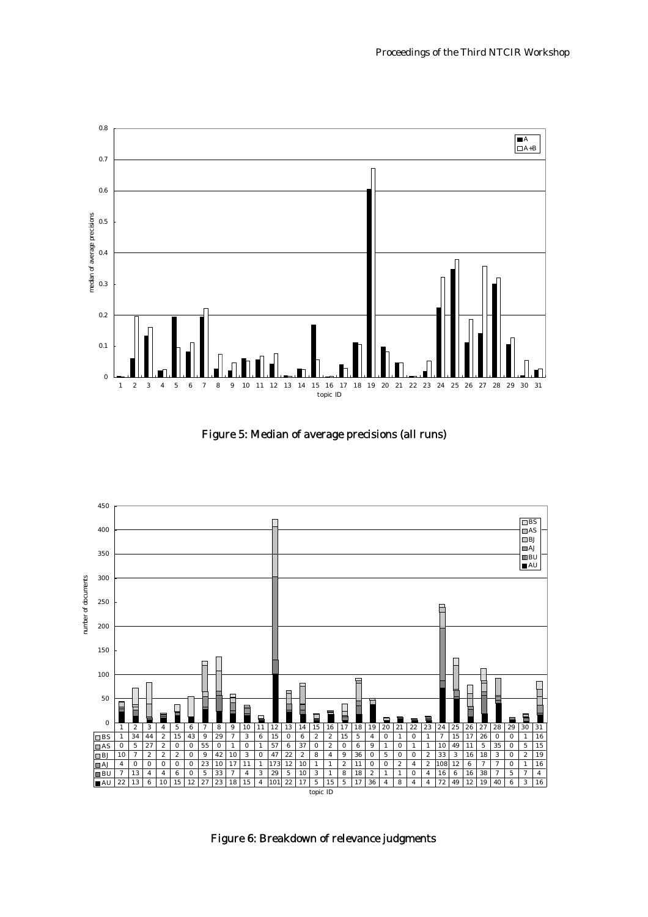

Figure 5: Median of average precisions (all runs)



Figure 6: Breakdown of relevance judgments